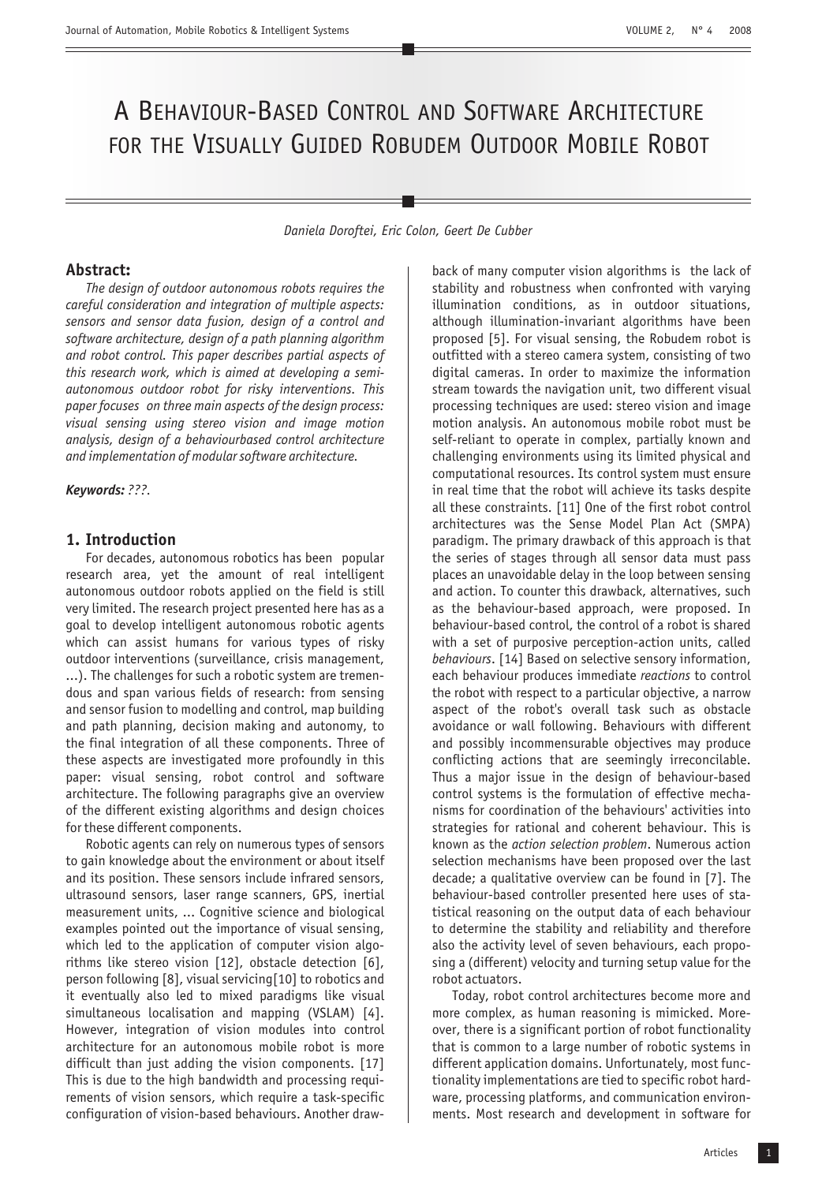# A BEHAVIOUR-BASED CONTROL AND SOFTWARE ARCHITECTURE FOR THE VISUALLY GUIDED ROBUDEM OUTDOOR MOBILE ROBOT

*Daniela Doroftei, Eric Colon, Geert De Cubber*

# **Abstract:**

*The design of outdoor autonomous robots requires the careful consideration and integration of multiple aspects: sensors and sensor data fusion, design of a control and software architecture, design of a path planning algorithm and robot control. This paper describes partial aspects of this research work, which is aimed at developing a semiautonomous outdoor robot for risky interventions. This paper focuses on three main aspects of the design process: visual sensing using stereo vision and image motion analysis, design of a behaviourbased control architecture and implementation of modular software architecture.*

*Keywords: ???.*

## **1. Introduction**

For decades, autonomous robotics has been popular research area, yet the amount of real intelligent autonomous outdoor robots applied on the field is still very limited. The research project presented here has as a goal to develop intelligent autonomous robotic agents which can assist humans for various types of risky outdoor interventions (surveillance, crisis management, ...). The challenges for such a robotic system are tremendous and span various fields of research: from sensing and sensor fusion to modelling and control, map building and path planning, decision making and autonomy, to the final integration of all these components. Three of these aspects are investigated more profoundly in this paper: visual sensing, robot control and software architecture. The following paragraphs give an overview of the different existing algorithms and design choices for these different components.

Robotic agents can rely on numerous types of sensors to gain knowledge about the environment or about itself and its position. These sensors include infrared sensors, ultrasound sensors, laser range scanners, GPS, inertial measurement units, ... Cognitive science and biological examples pointed out the importance of visual sensing, which led to the application of computer vision algorithms like stereo vision [12], obstacle detection [6], person following [8], visual servicing[10] to robotics and it eventually also led to mixed paradigms like visual simultaneous localisation and mapping (VSLAM) [4]. However, integration of vision modules into control architecture for an autonomous mobile robot is more difficult than just adding the vision components. [17] This is due to the high bandwidth and processing requirements of vision sensors, which require a task-specific configuration of vision-based behaviours. Another drawback of many computer vision algorithms is the lack of stability and robustness when confronted with varying illumination conditions, as in outdoor situations, although illumination-invariant algorithms have been proposed [5]. For visual sensing, the Robudem robot is outfitted with a stereo camera system, consisting of two digital cameras. In order to maximize the information stream towards the navigation unit, two different visual processing techniques are used: stereo vision and image motion analysis. An autonomous mobile robot must be self-reliant to operate in complex, partially known and challenging environments using its limited physical and computational resources. Its control system must ensure in real time that the robot will achieve its tasks despite all these constraints. [11] One of the first robot control architectures was the Sense Model Plan Act (SMPA) paradigm. The primary drawback of this approach is that the series of stages through all sensor data must pass places an unavoidable delay in the loop between sensing and action. To counter this drawback, alternatives, such as the behaviour-based approach, were proposed. In behaviour-based control, the control of a robot is shared with a set of purposive perception-action units, called . [14] Based on selective sensory information, *behaviours* each behaviour produces immediate reactions to control the robot with respect to a particular objective, a narrow aspect of the robot's overall task such as obstacle avoidance or wall following. Behaviours with different and possibly incommensurable objectives may produce conflicting actions that are seemingly irreconcilable. Thus a major issue in the design of behaviour-based control systems is the formulation of effective mechanisms for coordination of the behaviours' activities into strategies for rational and coherent behaviour. This is known as the *action selection problem*. Numerous action selection mechanisms have been proposed over the last decade; a qualitative overview can be found in [7]. The behaviour-based controller presented here uses of statistical reasoning on the output data of each behaviour to determine the stability and reliability and therefore also the activity level of seven behaviours, each proposing a (different) velocity and turning setup value for the robot actuators.

Today, robot control architectures become more and more complex, as human reasoning is mimicked. Moreover, there is a significant portion of robot functionality that is common to a large number of robotic systems in different application domains. Unfortunately, most functionality implementations are tied to specific robot hardware, processing platforms, and communication environments. Most research and development in software for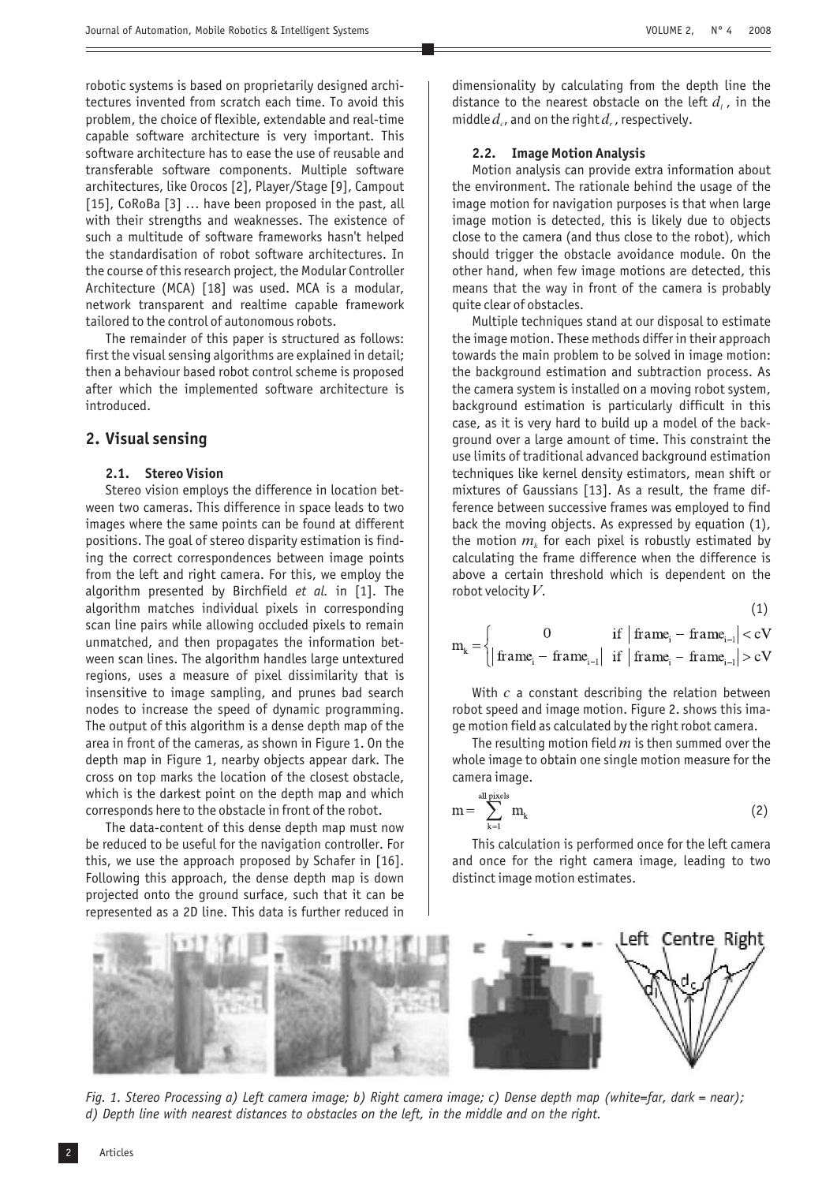robotic systems is based on proprietarily designed architectures invented from scratch each time. To avoid this problem, the choice of flexible, extendable and real-time capable software architecture is very important. This software architecture has to ease the use of reusable and transferable software components. Multiple software architectures, like Orocos [2], Player/Stage [9], Campout [15], CoRoBa [3] ... have been proposed in the past, all with their strengths and weaknesses. The existence of such a multitude of software frameworks hasn't helped the standardisation of robot software architectures. In the course of this research project, the Modular Controller Architecture (MCA) [18] was used. MCA is a modular, network transparent and realtime capable framework tailored to the control of autonomous robots.

The remainder of this paper is structured as follows: first the visual sensing algorithms are explained in detail; then a behaviour based robot control scheme is proposed after which the implemented software architecture is introduced .

# **2. Visual sensing**

# **2.1. Stereo Vision**

Stereo vision employs the difference in location between two cameras. This difference in space leads to two images where the same points can be found at different positions. The goal of stereo disparity estimation is finding the correct correspondences between image points from the left and right camera. For this, we employ the algorithm presented by Birchfield *et al*. in [1]. The algorithm matches individual pixels in corresponding scan line pairs while allowing occluded pixels to remain unmatched, and then propagates the information between scan lines. The algorithm handles large untextured regions, uses a measure of pixel dissimilarity that is insensitive to image sampling, and prunes bad search nodes to increase the speed of dynamic programming. The output of this algorithm is a dense depth map of the area in front of the cameras, as shown in Figure 1. On the depth map in Figure 1, nearby objects appear dark. The cross on top marks the location of the closest obstacle, which is the darkest point on the depth map and which corresponds here to the obstacle in front of the robot.

The data-content of this dense depth map must now be reduced to be useful for the navigation controller. For this, we use the approach proposed by Schafer in [16]. Following this approach, the dense depth map is down projected onto the ground surface, such that it can be represented as a 2D line. This data is further reduced in

dimensionality by calculating from the depth line the distance to the nearest obstacle on the left  $d_i$ , in the middle  $d_c$ , and on the right  $d_r$ , respectively.

#### **2.2. Image Motion Analysis**

Motion analysis can provide extra information about the environment. The rationale behind the usage of the image motion for navigation purposes is that when large image motion is detected, this is likely due to objects close to the camera (and thus close to the robot), which should trigger the obstacle avoidance module. On the other hand, when few image motions are detected, this means that the way in front of the camera is probably quite clear of obstacles.

Multiple techniques stand at our disposal to estimate the image motion. These methods differ in their approach towards the main problem to be solved in image motion: the background estimation and subtraction process. As the camera system is installed on a moving robot system, background estimation is particularly difficult in this case, as it is very hard to build up a model of the background over a large amount of time. This constraint the use limits of traditional advanced background estimation techniques like kernel density estimators, mean shift or mixtures of Gaussians [13]. As a result, the frame difference between successive frames was employed to find back the moving objects. As expressed by equation (1), the motion  $m_k$  for each pixel is robustly estimated by calculating the frame difference when the difference is above a certain threshold which is dependent on the robot velocity  $V$ .

$$
(1)
$$

$$
m_{k} = \begin{cases} 0 & \text{if } | \text{ frame}_{i} - \text{frame}_{i-1} | < cV \\ | \text{frame}_{i} - \text{frame}_{i-1} | & \text{if } | \text{frame}_{i} - \text{frame}_{i-1} | > cV \end{cases}
$$

With  $c$  a constant describing the relation between robot speed and image motion. Figure 2. shows this image motion field as calculated by the right robot camera.

The resulting motion field  $m$  is then summed over the whole image to obtain one single motion measure for the camera image.

$$
m = \sum_{k=1}^{\text{all pixels}} m_k \tag{2}
$$

This calculation is performed once for the left camera and once for the right camera image, leading to two distinct image motion estimates.



*Fig. 1. Stereo Processing a) Left camera image; b) Right camera image; c) Dense depth map (white=far, dark = near); d) Depth line with nearest distances to obstacles on the left, in the middle and on the right.*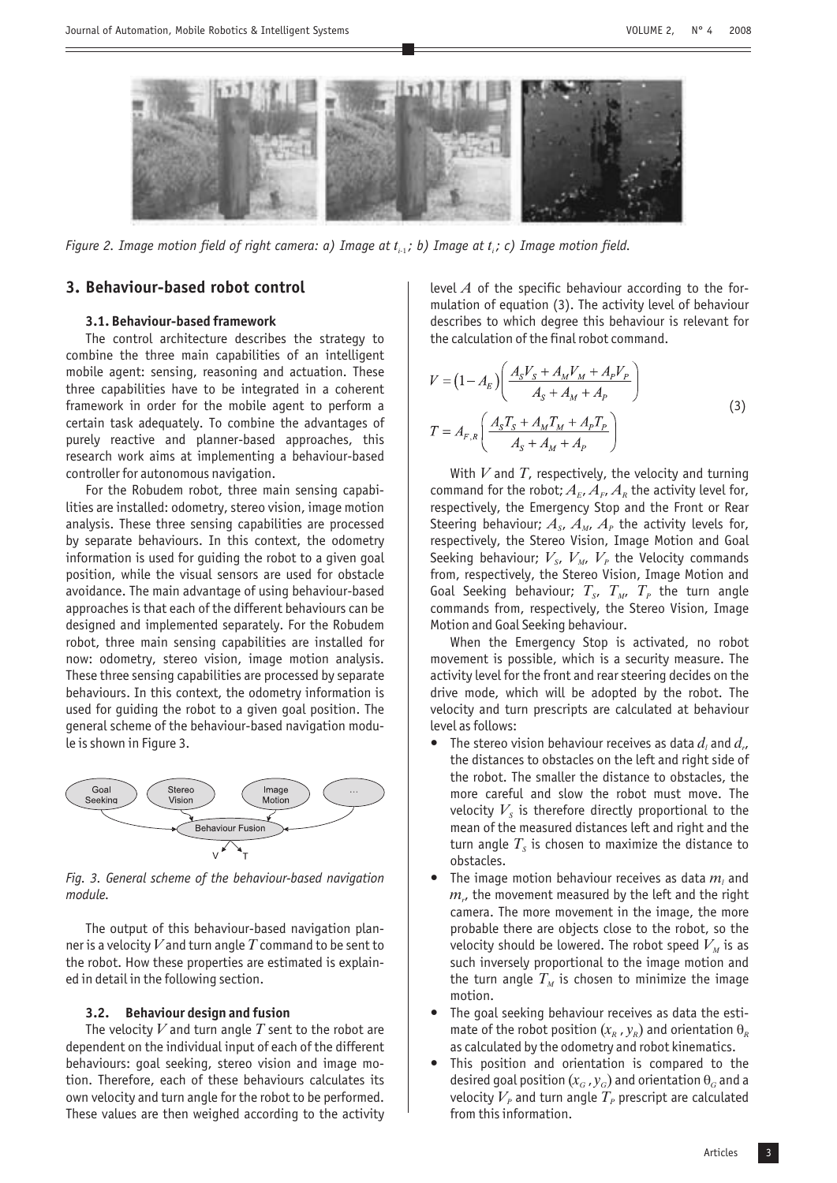

*Figure 2. Image motion field of right camera: a) Image at*  $t_i$ *, b) Image at*  $t_i$ *; c) Image motion field.* 

# **3. Behaviour-based robot control**

## **3.1. Behaviour-based framework**

The control architecture describes the strategy to combine the three main capabilities of an intelligent mobile agent: sensing, reasoning and actuation. These three capabilities have to be integrated in a coherent framework in order for the mobile agent to perform a certain task adequately. To combine the advantages of purely reactive and planner-based approaches, this research work aims at implementing a behaviour-based controller for autonomous navigation.

For the Robudem robot, three main sensing capabilities are installed: odometry, stereo vision, image motion analysis. These three sensing capabilities are processed by separate behaviours. In this context, the odometry information is used for guiding the robot to a given goal position, while the visual sensors are used for obstacle avoidance. The main advantage of using behaviour-based approaches is that each of the different behaviours can be designed and implemented separately. For the Robudem robot, three main sensing capabilities are installed for now: odometry, stereo vision, image motion analysis. These three sensing capabilities are processed by separate behaviours. In this context, the odometry information is used for guiding the robot to a given goal position. The general scheme of the behaviour-based navigation module is shown in Figure 3.



*Fig. 3. General scheme of the behaviour-based navigation module.*

The output of this behaviour-based navigation planner is a velocity  $V$  and turn angle  $T$  command to be sent to the robot. How these properties are estimated is explained in detail in the following section.

#### **3.2. Behaviour design and fusion**

The velocity  $V$  and turn angle  $T$  sent to the robot are dependent on the individual input of each of the different behaviours: goal seeking, stereo vision and image motion. Therefore, each of these behaviours calculates its own velocity and turn angle for the robot to be performed. These values are then weighed according to the activity

level  $A$  of the specific behaviour according to the formulation of equation (3). The activity level of behaviour describes to which degree this behaviour is relevant for the calculation of the final robot command.

$$
V = (1 - A_E) \left( \frac{A_S V_S + A_M V_M + A_P V_P}{A_S + A_M + A_P} \right)
$$
  
\n
$$
T = A_{F,R} \left( \frac{A_S T_S + A_M T_M + A_P T_P}{A_S + A_M + A_P} \right)
$$
\n(3)

With  $V$  and  $T$ , respectively, the velocity and turning command for the robot;  $A_E$ ,  $A_F$ ,  $A_R$  the activity level for, respectively, the Emergency Stop and the Front or Rear Steering behaviour;  $A_s$ ,  $A_M$ ,  $A_p$  the activity levels for, respectively, the Stereo Vision, Image Motion and Goal Seeking behaviour;  $V_{s}$ ,  $V_{M}$ ,  $V_{p}$  the Velocity commands from, respectively, the Stereo Vision, Image Motion and Goal Seeking behaviour;  $T_{s}$ ,  $T_{M}$ ,  $T_{p}$  the turn angle commands from, respectively, the Stereo Vision, Image Motion and Goal Seeking behaviour.

When the Emergency Stop is activated, no robot movement is possible, which is a security measure. The activity level for the front and rear steering decides on the drive mode, which will be adopted by the robot. The velocity and turn prescripts are calculated at behaviour level as follows: -

- The stereo vision behaviour receives as data  $d_i$  and  $d_r$ , the distances to obstacles on the left and right side of the robot. The smaller the distance to obstacles, the more careful and slow the robot must move. The velocity  $V_s$  is therefore directly proportional to the mean of the measured distances left and right and the turn angle  $T_s$  is chosen to maximize the distance to obstacles. -
- The image motion behaviour receives as data  $m_l$  and  $m_{\nu}$  the movement measured by the left and the right camera. The more movement in the image, the more probable there are objects close to the robot, so the velocity should be lowered. The robot speed  $V_{\scriptscriptstyle M}$  is as such inversely proportional to the image motion and the turn angle  $T_M$  is chosen to minimize the image motion. -
- The goal seeking behaviour receives as data the estimate of the robot position  $(x_R, y_R)$  and orientation  $\theta_R$ as calculated by the odometry and robot kinematics.
- This position and orientation is compared to the desired goal position  $(x_G, y_G)$  and orientation  $\theta_G$  and a velocity  $V_{\scriptscriptstyle P}$  and turn angle  $T_{\scriptscriptstyle P}$  prescript are calculated from this information.  $\bullet$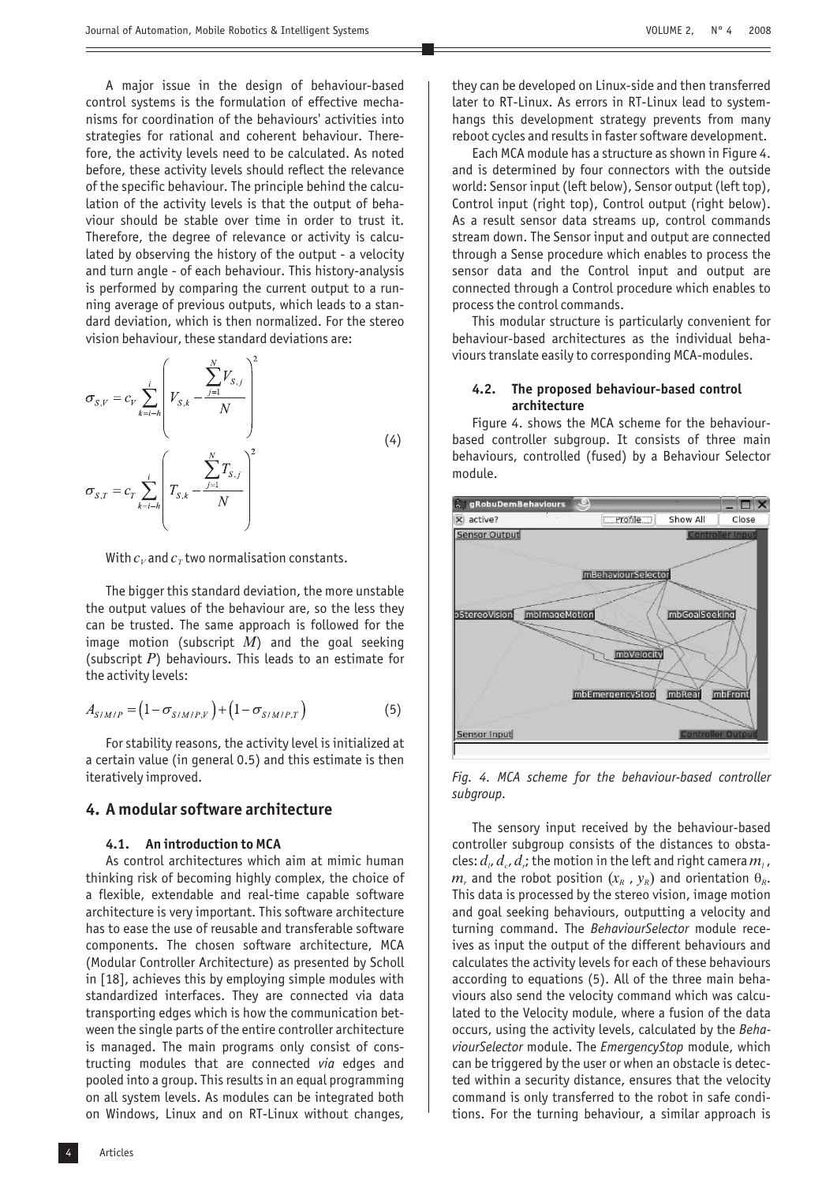A major issue in the design of behaviour-based control systems is the formulation of effective mechanisms for coordination of the behaviours' activities into strategies for rational and coherent behaviour. Therefore, the activity levels need to be calculated. As noted before, these activity levels should reflect the relevance of the specific behaviour. The principle behind the calculation of the activity levels is that the output of behaviour should be stable over time in order to trust it. Therefore, the degree of relevance or activity is calculated by observing the history of the output - a velocity and turn angle - of each behaviour. This history-analysis is performed by comparing the current output to a running average of previous outputs, which leads to a standard deviation, which is then normalized. For the stereo vision behaviour, these standard deviations are:

$$
\sigma_{S,V} = c_V \sum_{k=i-h}^{i} \left( V_{S,k} - \frac{\sum_{j=1}^{N} V_{S,j}}{N} \right)^2
$$
\n
$$
\sigma_{S,T} = c_T \sum_{k=i-h}^{i} \left( T_{S,k} - \frac{\sum_{j=1}^{N} T_{S,j}}{N} \right)^2
$$
\n(4)

With  $c_{\scriptscriptstyle V}$  and  $c_{\scriptscriptstyle T}$  two normalisation constants.

The bigger this standard deviation, the more unstable the output values of the behaviour are, so the less they can be trusted. The same approach is followed for the image motion (subscript  $M$ ) and the goal seeking (subscript P) behaviours. This leads to an estimate for the activity levels:

$$
A_{S/M/P} = (1 - \sigma_{S/M/P,V}) + (1 - \sigma_{S/M/P,T})
$$
\n(5)

For stability reasons, the activity level is initialized at a certain value (in general 0.5) and this estimate is then iteratively improved.

# **4. A modular software architecture**

#### **4.1. An introduction to MCA**

As control architectures which aim at mimic human thinking risk of becoming highly complex, the choice of a flexible, extendable and real-time capable software architecture is very important. This software architecture has to ease the use of reusable and transferable software components. The chosen software architecture, MCA (Modular Controller Architecture) as presented by Scholl in [18], achieves this by employing simple modules with standardized interfaces. They are connected via data transporting edges which is how the communication between the single parts of the entire controller architecture is managed. The main programs only consist of constructing modules that are connected via edges and pooled into a group. This results in an equal programming on all system levels. As modules can be integrated both on Windows, Linux and on RT-Linux without changes,

4 Articles

they can be developed on Linux-side and then transferred later to RT-Linux. As errors in RT-Linux lead to systemhangs this development strategy prevents from many reboot cycles and results in faster software development.

Each MCA module has a structure as shown in Figure 4. and is determined by four connectors with the outside world: Sensor input (left below), Sensor output (left top), Control input (right top), Control output (right below). As a result sensor data streams up, control commands stream down. The Sensor input and output are connected through a Sense procedure which enables to process the sensor data and the Control input and output are connected through a Control procedure which enables to process the control commands.

This modular structure is particularly convenient for behaviour-based architectures as the individual behaviours translate easily to corresponding MCA-modules.

## **4.2. The proposed behaviour-based control architecture**

Figure 4. shows the MCA scheme for the behaviourbased controller subgroup. It consists of three main behaviours, controlled (fused) by a Behaviour Selector module.



*Fig. 4. MCA scheme for the behaviour-based controller subgroup.*

The sensory input received by the behaviour-based controller subgroup consists of the distances to obstacles:  $d_{\scriptscriptstyle \it l}$ ,  $d_{\scriptscriptstyle \it c}$ ,  $d_{\scriptscriptstyle \it r}$ ; the motion in the left and right camera  $m_{\scriptscriptstyle \it l}$  ,  $m_r$  and the robot position  $(x_R, y_R)$  and orientation  $\theta_R$ . This data is processed by the stereo vision, image motion and goal seeking behaviours, outputting a velocity and turning command. The BehaviourSelector module receives as input the output of the different behaviours and calculates the activity levels for each of these behaviours according to equations (5). All of the three main behaviours also send the velocity command which was calculated to the Velocity module, where a fusion of the data occurs, using the activity levels, calculated by the *Beha*viourSelector module. The EmergencyStop module, which can be triggered by the user or when an obstacle is detected within a security distance, ensures that the velocity command is only transferred to the robot in safe conditions. For the turning behaviour, a similar approach is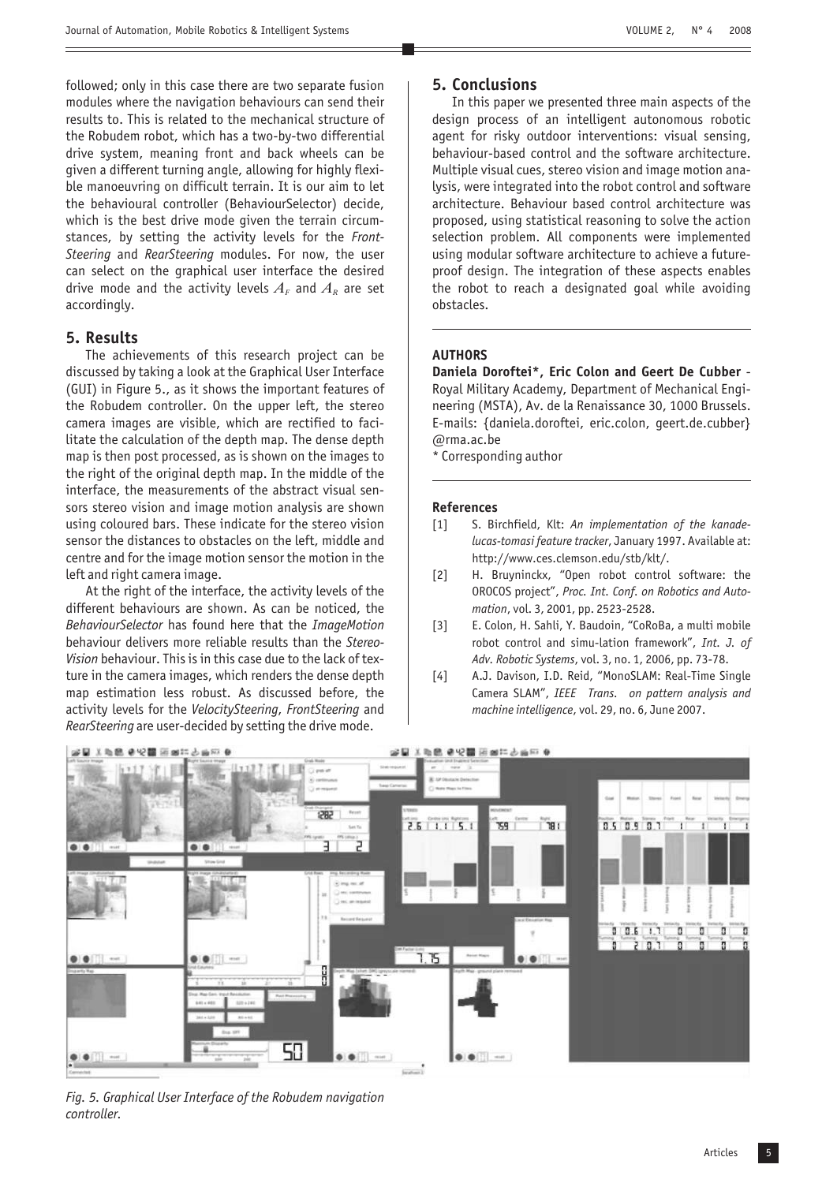VOLUME 2, N° 4 2008

followed; only in this case there are two separate fusion modules where the navigation behaviours can send their results to. This is related to the mechanical structure of the Robudem robot, which has a two-by-two differential drive system, meaning front and back wheels can be given a different turning angle, allowing for highly flexible manoeuvring on difficult terrain. It is our aim to let the behavioural controller (BehaviourSelector) decide, which is the best drive mode given the terrain circumstances, by setting the activity levels for the *Front-*Steering and RearSteering modules. For now, the user can select on the graphical user interface the desired drive mode and the activity levels  $A_{\scriptscriptstyle F}$  and  $A_{\scriptscriptstyle R}$  are set accordingly.

# **5. Results**

The achievements of this research project can be discussed by taking a look at the Graphical User Interface (GUI) in Figure 5., as it shows the important features of the Robudem controller. On the upper left, the stereo camera images are visible, which are rectified to facilitate the calculation of the depth map. The dense depth map is then post processed, as is shown on the images to the right of the original depth map. In the middle of the interface, the measurements of the abstract visual sensors stereo vision and image motion analysis are shown using coloured bars. These indicate for the stereo vision sensor the distances to obstacles on the left, middle and centre and for the image motion sensor the motion in the left and right camera image.

At the right of the interface, the activity levels of the different behaviours are shown. As can be noticed, the BehaviourSelector has found here that the ImageMotion behaviour delivers more reliable results than the *Stereo-*Vision behaviour. This is in this case due to the lack of texture in the camera images, which renders the dense depth map estimation less robust. As discussed before, the activity levels for the VelocitySteering, FrontSteering and RearSteering are user-decided by setting the drive mode.

# **5. Conclusions**

In this paper we presented three main aspects of the design process of an intelligent autonomous robotic agent for risky outdoor interventions: visual sensing, behaviour-based control and the software architecture. Multiple visual cues, stereo vision and image motion analysis, were integrated into the robot control and software architecture. Behaviour based control architecture was proposed, using statistical reasoning to solve the action selection problem. All components were implemented using modular software architecture to achieve a futureproof design. The integration of these aspects enables the robot to reach a designated goal while avoiding obstacles.

# **AUTHORS**

Daniela Doroftei\*, Eric Colon and Geert De Cubber -Royal Military Academy, Department of Mechanical Engineering (MSTA), Av. de la Renaissance 30, 1000 Brussels. E-mails: {daniela.doroftei, eric.colon, geert.de.cubber} @rma.ac.be

\* Corresponding author

## **References**

- [1] S. Birchfield, Klt: *An implementation of the kanade*lucas-tomasi feature tracker, January 1997. Available at: http://www.ces.clemson.edu/stb/klt/.
- [2] H. Bruyninckx, "Open robot control software: the OROCOS project", *Proc. Int. Conf. on Robotics and Auto-*, vol. 3, 2001, pp. 2523-2528. *mation*
- [3] E. Colon, H. Sahli, Y. Baudoin, "CoRoBa, a multi mobile robot control and simu-lation framework", *Int. J. of* Adv. Robotic Systems, vol. 3, no. 1, 2006, pp. 73-78.
- [4] A.J. Davison, I.D. Reid, "MonoSLAM: Real-Time Single Camera SLAM", *IEEE Trans. on pattern analysis and* machine intelligence, vol. 29, no. 6, June 2007.



*Fig. 5. Graphical User Interface of the Robudem navigation controller.*